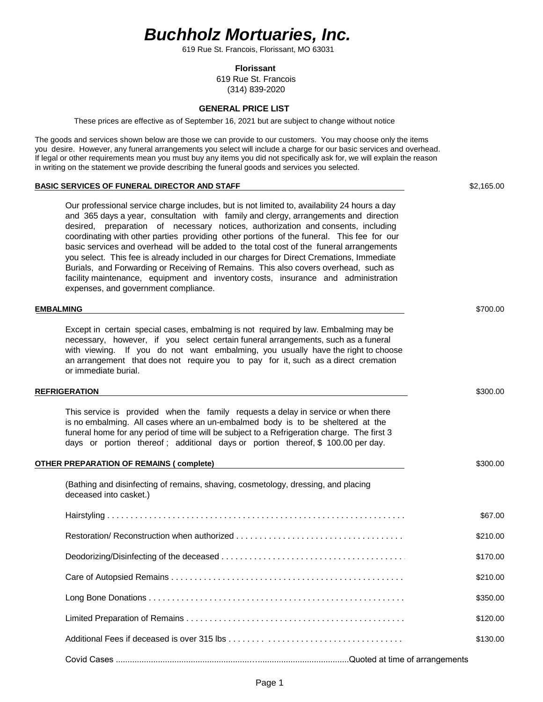# *Buchholz Mortuaries, Inc.*

619 Rue St. Francois, Florissant, MO 63031

#### **Florissant**

619 Rue St. Francois (314) 839-2020

### **GENERAL PRICE LIST**

These prices are effective as of September 16, 2021 but are subject to change without notice

The goods and services shown below are those we can provide to our customers. You may choose only the items you desire. However, any funeral arrangements you select will include a charge for our basic services and overhead. If legal or other requirements mean you must buy any items you did not specifically ask for, we will explain the reason in writing on the statement we provide describing the funeral goods and services you selected.

# **BASIC SERVICES OF FUNERAL DIRECTOR AND STAFF**  $$2,165.00$ Our professional service charge includes, but is not limited to, availability 24 hours a day and 365 days a year, consultation with family and clergy, arrangements and direction desired, preparation of necessary notices, authorization and consents, including coordinating with other parties providing other portions of the funeral. This fee for our basic services and overhead will be added to the total cost of the funeral arrangements you select. This fee is already included in our charges for Direct Cremations, Immediate Burials, and Forwarding or Receiving of Remains. This also covers overhead, such as facility maintenance, equipment and inventory costs, insurance and administration expenses, and government compliance. **EMBALMING** \$700.00 Except in certain special cases, embalming is not required by law. Embalming may be necessary, however, if you select certain funeral arrangements, such as a funeral with viewing. If you do not want embalming, you usually have the right to choose an arrangement that does not require you to pay for it, such as a direct cremation or immediate burial. **REFRIGERATION** \$300.00 This service is provided when the family requests a delay in service or when there is no embalming. All cases where an un-embalmed body is to be sheltered at the funeral home for any period of time will be subject to a Refrigeration charge. The first 3 days or portion thereof ; additional days or portion thereof, \$ 100.00 per day. **OTHER PREPARATION OF REMAINS ( complete)** \$300.00 (Bathing and disinfecting of remains, shaving, cosmetology, dressing, and placing deceased into casket.) Hairstyling . . . . . . . . . . . . . . . . . . . . . . . . . . . . . . . . . . . . . . . . . . . . . . . . . . . . . . . . . . . . . . . . . . . . . \$67.00 Restoration/ Reconstruction when authorized . . . . . . . . . . . . . . . . . . . . . . . . . . . . . . . . . . . . . . . . . \$210.00 Deodorizing/Disinfecting of the deceased . . . . . . . . . . . . . . . . . . . . . . . . . . . . . . . . . . . . . . . . . . . . \$170.00 Care of Autopsied Remains . . . . . . . . . . . . . . . . . . . . . . . . . . . . . . . . . . . . . . . . . . . . . . . . . . . . . . . \$210.00 Long Bone Donations . . . . . . . . . . . . . . . . . . . . . . . . . . . . . . . . . . . . . . . . . . . . . . . . . . . . . . . . . . . . \$350.00 Limited Preparation of Remains . . . . . . . . . . . . . . . . . . . . . . . . . . . . . . . . . . . . . . . . . . . . . . . . . . . . \$120.00 Additional Fees if deceased is over 315 lbs . . . . . . . . . . . . . . . . . . . . . . . . . . . . . . . . . . . . . . . \$130.00

Covid Cases .........................................................….......................................Quoted at time of arrangements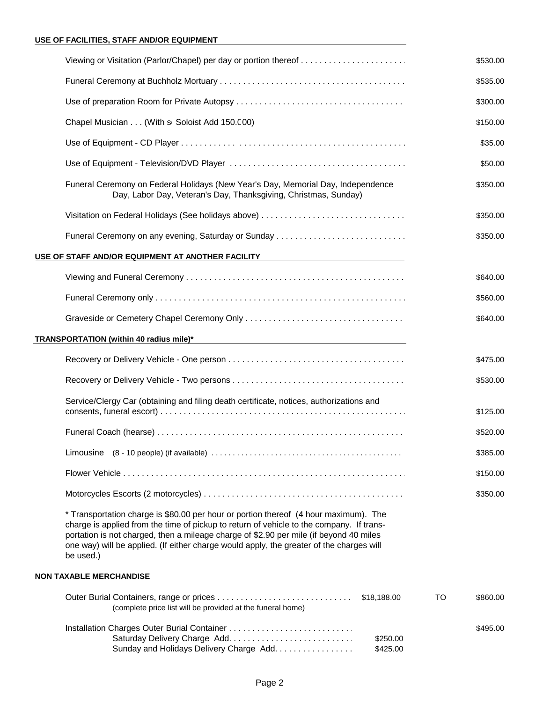# **USE OF FACILITIES, STAFF AND/OR EQUIPMENT**

| Viewing or Visitation (Parlor/Chapel) per day or portion thereof                                                                                                                                                                                                                                                                                                                    |    | \$530.00 |
|-------------------------------------------------------------------------------------------------------------------------------------------------------------------------------------------------------------------------------------------------------------------------------------------------------------------------------------------------------------------------------------|----|----------|
|                                                                                                                                                                                                                                                                                                                                                                                     |    | \$535.00 |
|                                                                                                                                                                                                                                                                                                                                                                                     |    | \$300.00 |
| Chapel Musician (With s Soloist Add 150.000)                                                                                                                                                                                                                                                                                                                                        |    | \$150.00 |
|                                                                                                                                                                                                                                                                                                                                                                                     |    | \$35.00  |
|                                                                                                                                                                                                                                                                                                                                                                                     |    | \$50.00  |
| Funeral Ceremony on Federal Holidays (New Year's Day, Memorial Day, Independence<br>Day, Labor Day, Veteran's Day, Thanksgiving, Christmas, Sunday)                                                                                                                                                                                                                                 |    | \$350.00 |
| Visitation on Federal Holidays (See holidays above)                                                                                                                                                                                                                                                                                                                                 |    | \$350.00 |
| Funeral Ceremony on any evening, Saturday or Sunday                                                                                                                                                                                                                                                                                                                                 |    | \$350.00 |
| USE OF STAFF AND/OR EQUIPMENT AT ANOTHER FACILITY<br><u> 1989 - Andrea Andrew Maria (h. 1989).</u>                                                                                                                                                                                                                                                                                  |    |          |
|                                                                                                                                                                                                                                                                                                                                                                                     |    | \$640.00 |
|                                                                                                                                                                                                                                                                                                                                                                                     |    | \$560.00 |
|                                                                                                                                                                                                                                                                                                                                                                                     |    | \$640.00 |
| TRANSPORTATION (within 40 radius mile)* Name and the control of the control of the control of the control of the control of the control of the control of the control of the control of the control of the control of the cont                                                                                                                                                      |    |          |
|                                                                                                                                                                                                                                                                                                                                                                                     |    | \$475.00 |
|                                                                                                                                                                                                                                                                                                                                                                                     |    | \$530.00 |
| Service/Clergy Car (obtaining and filing death certificate, notices, authorizations and                                                                                                                                                                                                                                                                                             |    | \$125.00 |
|                                                                                                                                                                                                                                                                                                                                                                                     |    | \$520.00 |
|                                                                                                                                                                                                                                                                                                                                                                                     |    | \$385.00 |
|                                                                                                                                                                                                                                                                                                                                                                                     |    | \$150.00 |
|                                                                                                                                                                                                                                                                                                                                                                                     |    | \$350.00 |
| * Transportation charge is \$80.00 per hour or portion thereof (4 hour maximum). The<br>charge is applied from the time of pickup to return of vehicle to the company. If trans-<br>portation is not charged, then a mileage charge of \$2.90 per mile (if beyond 40 miles<br>one way) will be applied. (If either charge would apply, the greater of the charges will<br>be used.) |    |          |
| <b>NON TAXABLE MERCHANDISE</b>                                                                                                                                                                                                                                                                                                                                                      |    |          |
| \$18,188.00<br>(complete price list will be provided at the funeral home)                                                                                                                                                                                                                                                                                                           | TO | \$860.00 |
| \$250.00<br>Sunday and Holidays Delivery Charge Add.<br>\$425.00                                                                                                                                                                                                                                                                                                                    |    | \$495.00 |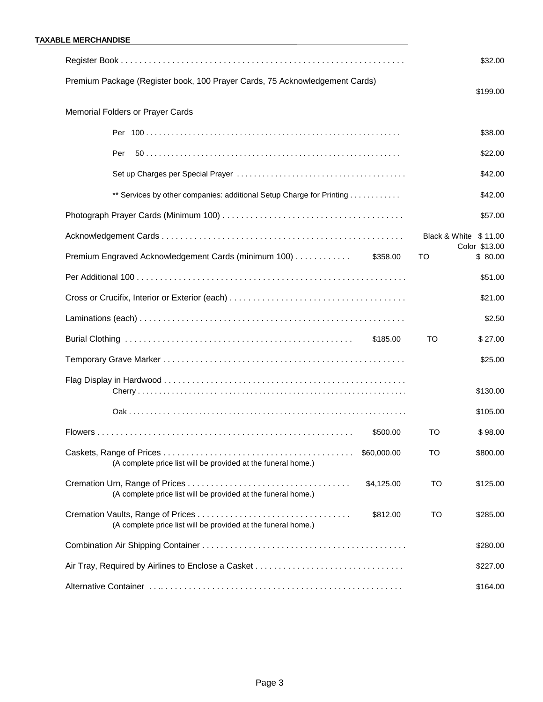|                                                                              | \$32.00                                |
|------------------------------------------------------------------------------|----------------------------------------|
| Premium Package (Register book, 100 Prayer Cards, 75 Acknowledgement Cards)  | \$199.00                               |
|                                                                              |                                        |
| Memorial Folders or Prayer Cards                                             |                                        |
|                                                                              | \$38.00                                |
| Per                                                                          | \$22.00                                |
|                                                                              | \$42.00                                |
| ** Services by other companies: additional Setup Charge for Printing         | \$42.00                                |
|                                                                              | \$57.00                                |
|                                                                              | Black & White \$11.00<br>Color \$13.00 |
| Premium Engraved Acknowledgement Cards (minimum 100)<br>\$358.00             | \$80.00<br>то                          |
|                                                                              | \$51.00                                |
|                                                                              | \$21.00                                |
|                                                                              | \$2.50                                 |
| \$185.00                                                                     | TO<br>\$27.00                          |
|                                                                              | \$25.00                                |
|                                                                              | \$130.00                               |
|                                                                              | \$105.00                               |
| \$500.00                                                                     | то<br>\$98.00                          |
| \$60,000.00<br>(A complete price list will be provided at the funeral home.) | TO<br>\$800.00                         |
| \$4,125.00<br>(A complete price list will be provided at the funeral home.)  | TO<br>\$125.00                         |
| \$812.00<br>(A complete price list will be provided at the funeral home.)    | TO<br>\$285.00                         |
|                                                                              | \$280.00                               |
|                                                                              | \$227.00                               |
|                                                                              | \$164.00                               |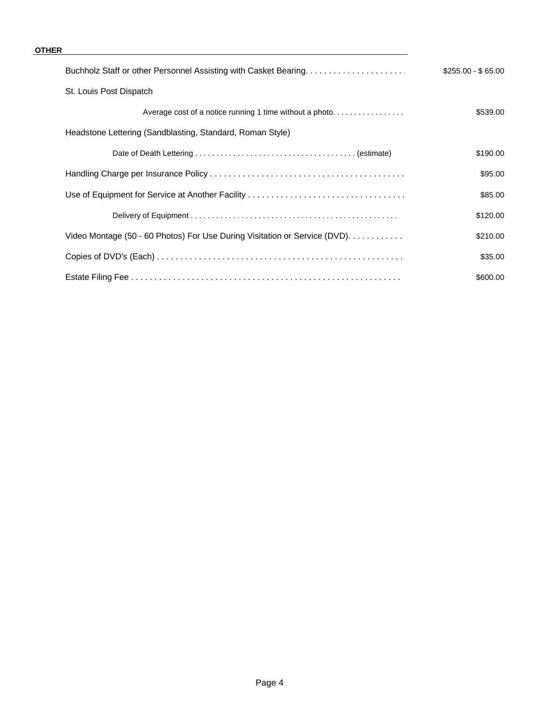### **OTHER**

|                                                                            | $$255.00 - $65.00$ |  |  |
|----------------------------------------------------------------------------|--------------------|--|--|
| St. Louis Post Dispatch                                                    |                    |  |  |
| Average cost of a notice running 1 time without a photo                    | \$539.00           |  |  |
| Headstone Lettering (Sandblasting, Standard, Roman Style)                  |                    |  |  |
|                                                                            | \$190.00           |  |  |
|                                                                            | \$95.00            |  |  |
|                                                                            | \$85.00            |  |  |
|                                                                            | \$120.00           |  |  |
| Video Montage (50 - 60 Photos) For Use During Visitation or Service (DVD). | \$210.00           |  |  |
|                                                                            | \$35.00            |  |  |
|                                                                            | \$600.00           |  |  |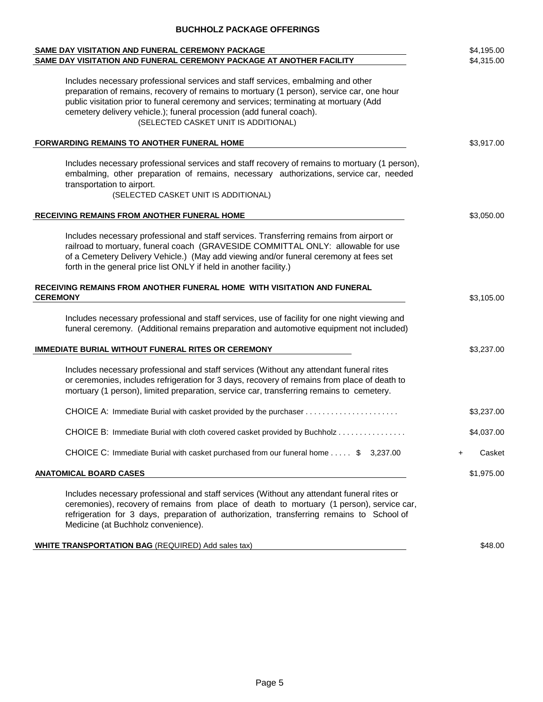## **BUCHHOLZ PACKAGE OFFERINGS**

| SAME DAY VISITATION AND FUNERAL CEREMONY PACKAGE                                                                                                                                                                                                                                                                                                                                        |                     |
|-----------------------------------------------------------------------------------------------------------------------------------------------------------------------------------------------------------------------------------------------------------------------------------------------------------------------------------------------------------------------------------------|---------------------|
| SAME DAY VISITATION AND FUNERAL CEREMONY PACKAGE AT ANOTHER FACILITY                                                                                                                                                                                                                                                                                                                    | \$4,315.00          |
| Includes necessary professional services and staff services, embalming and other<br>preparation of remains, recovery of remains to mortuary (1 person), service car, one hour<br>public visitation prior to funeral ceremony and services; terminating at mortuary (Add<br>cemetery delivery vehicle.); funeral procession (add funeral coach).<br>(SELECTED CASKET UNIT IS ADDITIONAL) |                     |
| <b>FORWARDING REMAINS TO ANOTHER FUNERAL HOME</b>                                                                                                                                                                                                                                                                                                                                       | \$3,917.00          |
| Includes necessary professional services and staff recovery of remains to mortuary (1 person),<br>embalming, other preparation of remains, necessary authorizations, service car, needed<br>transportation to airport.<br>(SELECTED CASKET UNIT IS ADDITIONAL)                                                                                                                          |                     |
| RECEIVING REMAINS FROM ANOTHER FUNERAL HOME                                                                                                                                                                                                                                                                                                                                             | \$3,050.00          |
| Includes necessary professional and staff services. Transferring remains from airport or<br>railroad to mortuary, funeral coach (GRAVESIDE COMMITTAL ONLY: allowable for use<br>of a Cemetery Delivery Vehicle.) (May add viewing and/or funeral ceremony at fees set<br>forth in the general price list ONLY if held in another facility.)                                             |                     |
| RECEIVING REMAINS FROM ANOTHER FUNERAL HOME WITH VISITATION AND FUNERAL<br><b>CEREMONY</b>                                                                                                                                                                                                                                                                                              | \$3,105.00          |
| Includes necessary professional and staff services, use of facility for one night viewing and<br>funeral ceremony. (Additional remains preparation and automotive equipment not included)                                                                                                                                                                                               |                     |
| <b>IMMEDIATE BURIAL WITHOUT FUNERAL RITES OR CEREMONY</b>                                                                                                                                                                                                                                                                                                                               | \$3,237.00          |
| Includes necessary professional and staff services (Without any attendant funeral rites<br>or ceremonies, includes refrigeration for 3 days, recovery of remains from place of death to<br>mortuary (1 person), limited preparation, service car, transferring remains to cemetery.                                                                                                     |                     |
|                                                                                                                                                                                                                                                                                                                                                                                         | \$3,237.00          |
| CHOICE B: Immediate Burial with cloth covered casket provided by Buchholz                                                                                                                                                                                                                                                                                                               | \$4,037.00          |
| CHOICE C: Immediate Burial with casket purchased from our funeral home \$ 3,237.00                                                                                                                                                                                                                                                                                                      | Casket<br>$\ddot{}$ |
| <b>ANATOMICAL BOARD CASES</b>                                                                                                                                                                                                                                                                                                                                                           | \$1,975.00          |
| Includes necessary professional and staff services (Without any attendant funeral rites or<br>ceremonies), recovery of remains from place of death to mortuary (1 person), service car,<br>refrigeration for 3 days, preparation of authorization, transferring remains to School of<br>Medicine (at Buchholz convenience).                                                             |                     |
| <b>WHITE TRANSPORTATION BAG</b> (REQUIRED) Add sales tax)                                                                                                                                                                                                                                                                                                                               | \$48.00             |